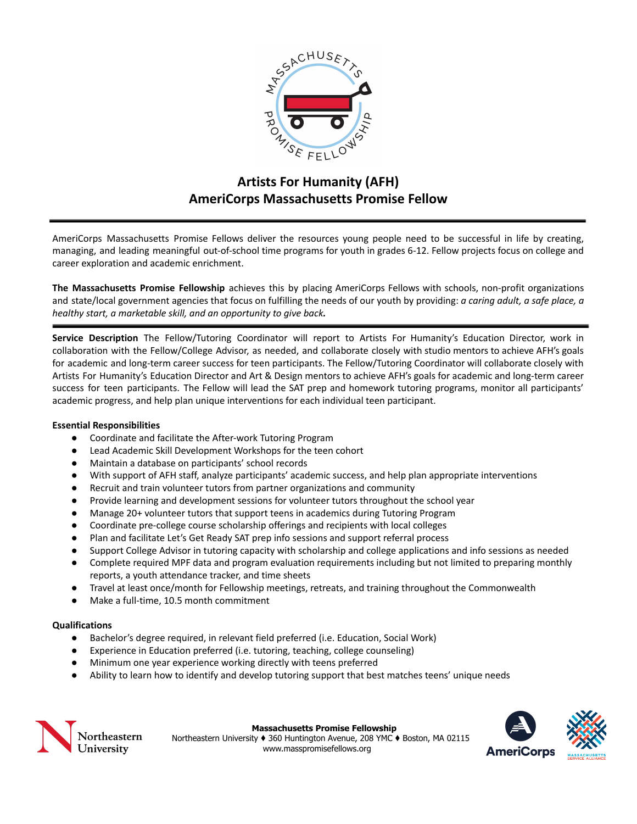

# **Artists For Humanity (AFH) AmeriCorps Massachusetts Promise Fellow**

AmeriCorps Massachusetts Promise Fellows deliver the resources young people need to be successful in life by creating, managing, and leading meaningful out-of-school time programs for youth in grades 6-12. Fellow projects focus on college and career exploration and academic enrichment.

**The Massachusetts Promise Fellowship** achieves this by placing AmeriCorps Fellows with schools, non-profit organizations and state/local government agencies that focus on fulfilling the needs of our youth by providing: *a caring adult, a safe place, a healthy start, a marketable skill, and an opportunity to give back.*

**Service Description** The Fellow/Tutoring Coordinator will report to Artists For Humanity's Education Director, work in collaboration with the Fellow/College Advisor, as needed, and collaborate closely with studio mentors to achieve AFH's goals for academic and long-term career success for teen participants. The Fellow/Tutoring Coordinator will collaborate closely with Artists For Humanity's Education Director and Art & Design mentors to achieve AFH's goals for academic and long-term career success for teen participants. The Fellow will lead the SAT prep and homework tutoring programs, monitor all participants' academic progress, and help plan unique interventions for each individual teen participant.

### **Essential Responsibilities**

- Coordinate and facilitate the After-work Tutoring Program
- Lead Academic Skill Development Workshops for the teen cohort
- Maintain a database on participants' school records
- With support of AFH staff, analyze participants' academic success, and help plan appropriate interventions
- Recruit and train volunteer tutors from partner organizations and community
- Provide learning and development sessions for volunteer tutors throughout the school year
- Manage 20+ volunteer tutors that support teens in academics during Tutoring Program
- Coordinate pre-college course scholarship offerings and recipients with local colleges
- Plan and facilitate Let's Get Ready SAT prep info sessions and support referral process
- Support College Advisor in tutoring capacity with scholarship and college applications and info sessions as needed
- Complete required MPF data and program evaluation requirements including but not limited to preparing monthly reports, a youth attendance tracker, and time sheets
- Travel at least once/month for Fellowship meetings, retreats, and training throughout the Commonwealth
- Make a full-time, 10.5 month commitment

### **Qualifications**

- Bachelor's degree required, in relevant field preferred (i.e. Education, Social Work)
- Experience in Education preferred (i.e. tutoring, teaching, college counseling)
- Minimum one year experience working directly with teens preferred
- Ability to learn how to identify and develop tutoring support that best matches teens' unique needs



**Massachusetts Promise Fellowship**

Northeastern University ♦ 360 Huntington Avenue, 208 YMC ♦ Boston, MA 02115 www.masspromisefellows.org